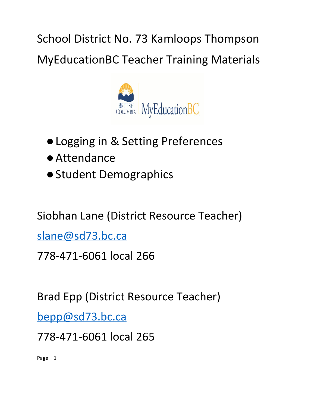School District No. 73 Kamloops Thompson MyEducationBC Teacher Training Materials



- Logging in & Setting Preferences
- ●Attendance
- ●Student Demographics

Siobhan Lane (District Resource Teacher)

[slane@sd73.bc.ca](mailto:slane@sd73.bc.ca)

778-471-6061 local 266

Brad Epp (District Resource Teacher)

[bepp@sd73.bc.ca](mailto:bepp@sd73.bc.ca)

778-471-6061 local 265

Page | 1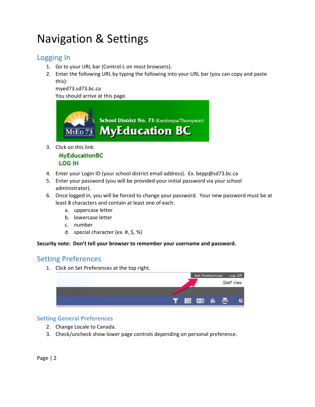# Navigation & Settings

### Logging In

- 1. Go to your URL bar (Control-L on most browsers).
- 2. Enter the following URL by typing the following into your URL bar (you can copy and paste this):

myed73.sd73.bc.ca

You should arrive at this page.



3. Click on this link:

**MyEducationBC LOG IN** 

- 4. Enter your Login ID (your school district email address). Ex. bepp@sd73.bc.ca
- 5. Enter your password (you will be provided your initial password via your school administrator).
- 6. Once logged in, you will be forced to change your password. Your new password must be at least 8 characters and contain at least one of each:
	- a. uppercase letter
	- b. lowercase letter
	- c. number
	- d. special character (ex. #, \$, %)

**Security note: Don't tell your browser to remember your username and password.**

### Setting Preferences

1. Click on Set Preferences at the top right.



#### **Setting General Preferences**

- 2. Change Locale to Canada.
- 3. Check/uncheck show lower page controls depending on personal preference.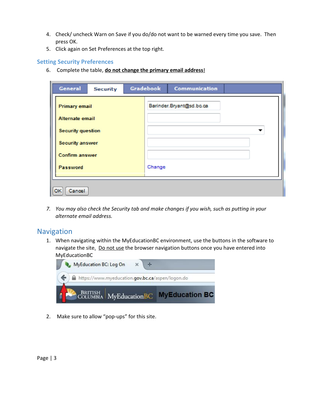- 4. Check/ uncheck Warn on Save if you do/do not want to be warned every time you save. Then press OK.
- 5. Click again on Set Preferences at the top right.

#### **Setting Security Preferences**

6. Complete the table, **do not change the primary email address**!

| General                                         | <b>Security</b> | Gradebook | Communication            |  |
|-------------------------------------------------|-----------------|-----------|--------------------------|--|
| <b>Primary email</b><br>Alternate email         |                 |           | Barinder.Bryant@sd.bc.ca |  |
| <b>Security question</b>                        |                 |           |                          |  |
| <b>Security answer</b><br><b>Confirm answer</b> |                 |           |                          |  |
| Password                                        |                 | Change    |                          |  |
| Cancel                                          |                 |           |                          |  |

7. You may also check the Security tab and make changes if you wish, such as putting in your *alternate email address.*

#### Navigation

1. When navigating within the MyEducationBC environment, use the buttons in the software to navigate the site. Do not use the browser navigation buttons once you have entered into MyEducationBC



2. Make sure to allow "pop-ups" for this site.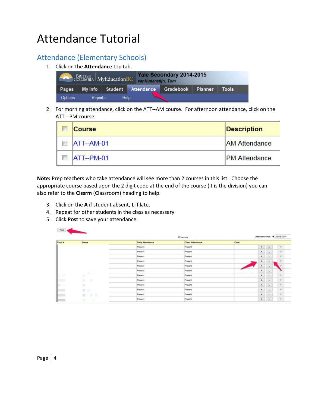# Attendance Tutorial

## Attendance (Elementary Schools)

1. Click on the **Attendance**top tab.



2. For morning attendance, click on the ATT--AM course. For afternoon attendance, click on the ATT-- PM course.

| <b>Course</b> | <b>Description</b>   |
|---------------|----------------------|
| ATT--AM-01    | <b>AM Attendance</b> |
| ATT--PM-01    | <b>PM</b> Attendance |

**Note:** Prep teachers who take attendance will see more than 2 courses in this list. Choose the appropriate course based upon the 2 digit code at the end of the course (it is the division) you can also refer to the **Clssrm**(Classroom) heading to help.

- 3. Click on the **A**if student absent, **L**if late.
- 4. Repeat for other students in the class as necessary
- 5. Click **Post**to save your attendance.

Port of the con-

| Attendance for: 4 29/09/2014<br>26 records |                                                                                                                                                                                                                                                                                                                                                                                                                                                                                       |                         |                         |      |                  |              |                          |
|--------------------------------------------|---------------------------------------------------------------------------------------------------------------------------------------------------------------------------------------------------------------------------------------------------------------------------------------------------------------------------------------------------------------------------------------------------------------------------------------------------------------------------------------|-------------------------|-------------------------|------|------------------|--------------|--------------------------|
| Pupit #                                    | <b>Name</b>                                                                                                                                                                                                                                                                                                                                                                                                                                                                           | <b>Daily Attendance</b> | <b>Class Attendance</b> | Code |                  |              |                          |
|                                            |                                                                                                                                                                                                                                                                                                                                                                                                                                                                                       | Present                 | Present                 |      | A                | $\Box L$     | $\overline{\phantom{a}}$ |
|                                            |                                                                                                                                                                                                                                                                                                                                                                                                                                                                                       | Present                 | Present                 |      | $\,$ $\,$        | $-1$         | $\rightarrow$            |
|                                            | -                                                                                                                                                                                                                                                                                                                                                                                                                                                                                     | Present                 | Present                 |      | A.               | $\mathbf{L}$ | ×                        |
|                                            | -                                                                                                                                                                                                                                                                                                                                                                                                                                                                                     | Present                 | Present                 |      | A                | з.           | ×                        |
|                                            | -                                                                                                                                                                                                                                                                                                                                                                                                                                                                                     | Present                 | Present                 |      | $-16 -$          | <b>CALL</b>  |                          |
|                                            | ×                                                                                                                                                                                                                                                                                                                                                                                                                                                                                     | Present                 | Present                 |      | $A \t1$          |              |                          |
| œ                                          | u.                                                                                                                                                                                                                                                                                                                                                                                                                                                                                    | Present                 | Present                 |      | A                | $-1$         | $\mu$                    |
| $=$                                        | $\frac{1}{2} \left( \frac{1}{2} \right) \left( \frac{1}{2} \right) \left( \frac{1}{2} \right) \left( \frac{1}{2} \right) \left( \frac{1}{2} \right) \left( \frac{1}{2} \right) \left( \frac{1}{2} \right) \left( \frac{1}{2} \right) \left( \frac{1}{2} \right) \left( \frac{1}{2} \right) \left( \frac{1}{2} \right) \left( \frac{1}{2} \right) \left( \frac{1}{2} \right) \left( \frac{1}{2} \right) \left( \frac{1}{2} \right) \left( \frac{1}{2} \right) \left( \frac$<br>×       | Present                 | Present                 |      | A.               | .u           | ×                        |
| <b>STAR</b>                                | ٠                                                                                                                                                                                                                                                                                                                                                                                                                                                                                     | Present                 | Present                 |      | $\blacktriangle$ | $\sim$ L     | $\boldsymbol{r}$         |
| m                                          | $22^{\circ}$                                                                                                                                                                                                                                                                                                                                                                                                                                                                          | Present                 | Present                 |      | $\lambda$        | $-1$         | $\cdot$ $\tau$           |
|                                            | $\frac{1}{2} \left( \frac{1}{2} \right) \left( \frac{1}{2} \right) \left( \frac{1}{2} \right) \left( \frac{1}{2} \right) \left( \frac{1}{2} \right) \left( \frac{1}{2} \right) \left( \frac{1}{2} \right) \left( \frac{1}{2} \right) \left( \frac{1}{2} \right) \left( \frac{1}{2} \right) \left( \frac{1}{2} \right) \left( \frac{1}{2} \right) \left( \frac{1}{2} \right) \left( \frac{1}{2} \right) \left( \frac{1}{2} \right) \left( \frac{1}{2} \right) \left( \frac$<br>m<br>■■ | Present                 | Present                 |      | A.               | s.           | $\overline{r}$           |
|                                            | $\frac{1}{2} \left( \frac{1}{2} \right) \left( \frac{1}{2} \right) \left( \frac{1}{2} \right) \left( \frac{1}{2} \right) \left( \frac{1}{2} \right) \left( \frac{1}{2} \right) \left( \frac{1}{2} \right) \left( \frac{1}{2} \right) \left( \frac{1}{2} \right) \left( \frac{1}{2} \right) \left( \frac{1}{2} \right) \left( \frac{1}{2} \right) \left( \frac{1}{2} \right) \left( \frac{1}{2} \right) \left( \frac{1}{2} \right) \left( \frac{1}{2} \right) \left( \frac$<br>u.<br>× | Present                 | Present                 |      | A.               | ×            | ×                        |